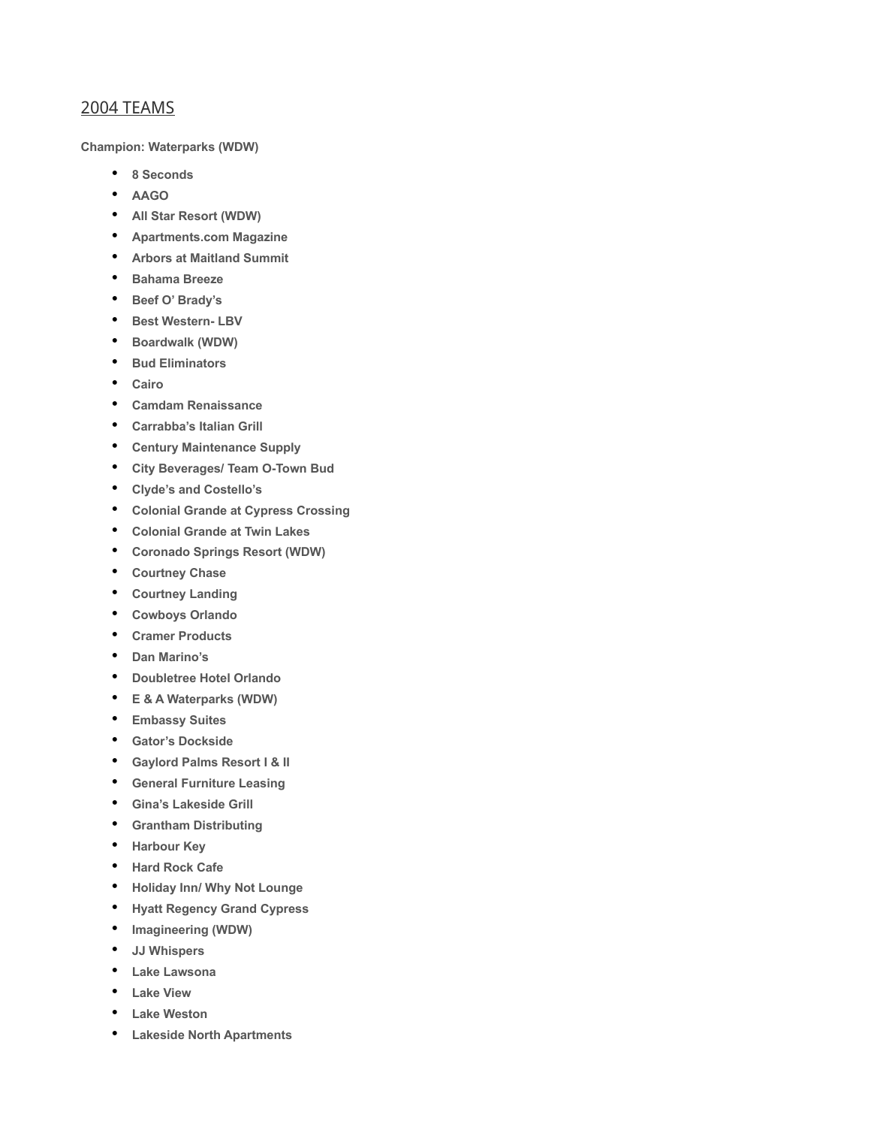## 2004 TEAMS

**Champion: Waterparks (WDW)**

- **8 Seconds**
- **AAGO**
- **All Star Resort (WDW)**
- **Apartments.com Magazine**
- **Arbors at Maitland Summit**
- **Bahama Breeze**
- **Beef O' Brady's**
- **Best Western- LBV**
- **Boardwalk (WDW)**
- **Bud Eliminators**
- **Cairo**
- **Camdam Renaissance**
- **Carrabba's Italian Grill**
- **Century Maintenance Supply**
- **City Beverages/ Team O-Town Bud**
- **Clyde's and Costello's**
- **Colonial Grande at Cypress Crossing**
- **Colonial Grande at Twin Lakes**
- **Coronado Springs Resort (WDW)**
- **Courtney Chase**
- **Courtney Landing**
- **Cowboys Orlando**
- **Cramer Products**
- **Dan Marino's**
- **Doubletree Hotel Orlando**
- **E & A Waterparks (WDW)**
- **Embassy Suites**
- **Gator's Dockside**
- **Gaylord Palms Resort I & II**
- **General Furniture Leasing**
- **Gina's Lakeside Grill**
- **Grantham Distributing**
- **Harbour Key**
- **Hard Rock Cafe**
- **Holiday Inn/ Why Not Lounge**
- **Hyatt Regency Grand Cypress**
- **Imagineering (WDW)**
- **JJ Whispers**
- **Lake Lawsona**
- **Lake View**
- **Lake Weston**
- **Lakeside North Apartments**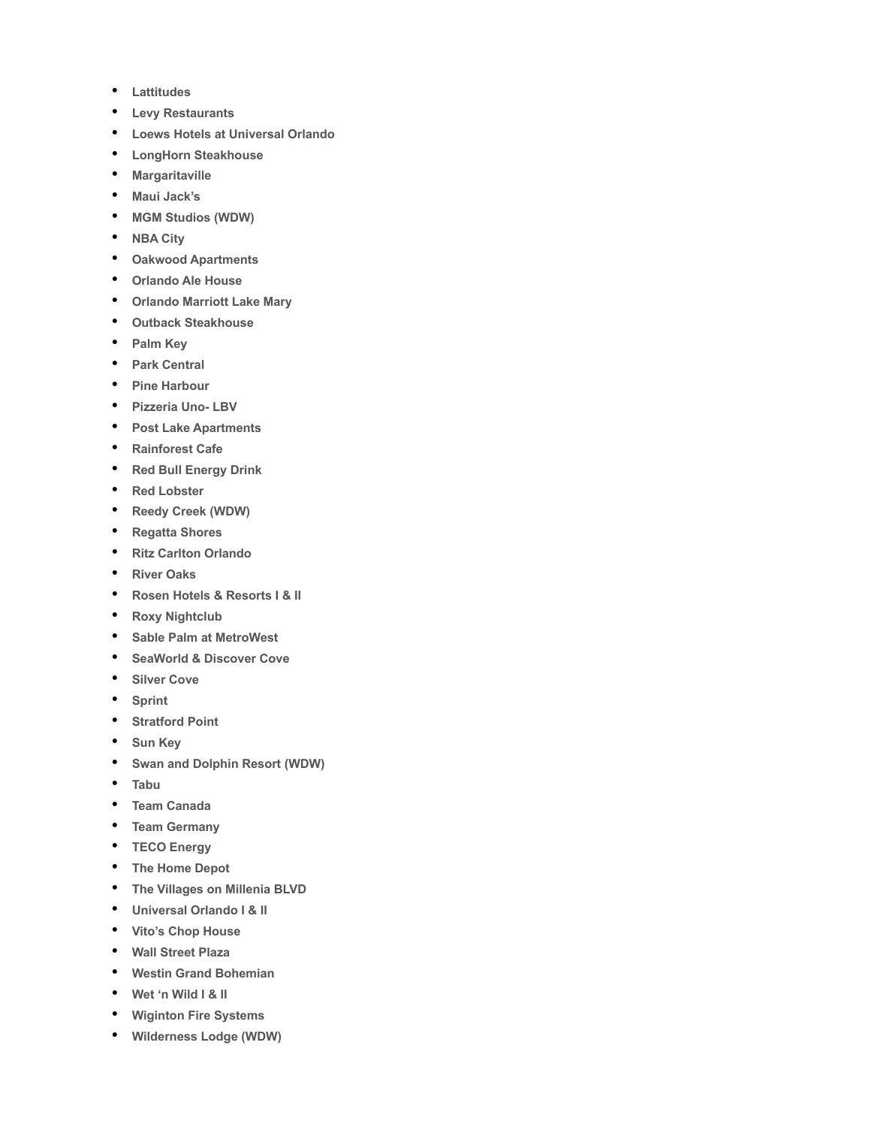- **Lattitudes**
- **Levy Restaurants**
- **Loews Hotels at Universal Orlando**
- **LongHorn Steakhouse**
- **Margaritaville**
- **Maui Jack's**
- **MGM Studios (WDW)**
- **NBA City**
- **Oakwood Apartments**
- **Orlando Ale House**
- **Orlando Marriott Lake Mary**
- **Outback Steakhouse**
- **Palm Key**
- **Park Central**
- **Pine Harbour**
- **Pizzeria Uno- LBV**
- **Post Lake Apartments**
- **Rainforest Cafe**
- **Red Bull Energy Drink**
- **Red Lobster**
- **Reedy Creek (WDW)**
- **Regatta Shores**
- **Ritz Carlton Orlando**
- **River Oaks**
- **Rosen Hotels & Resorts I & II**
- **Roxy Nightclub**
- **Sable Palm at MetroWest**
- **SeaWorld & Discover Cove**
- **Silver Cove**
- **Sprint**
- **Stratford Point**
- **Sun Key**
- **Swan and Dolphin Resort (WDW)**
- **Tabu**
- **Team Canada**
- **Team Germany**
- **TECO Energy**
- **The Home Depot**
- **The Villages on Millenia BLVD**
- **Universal Orlando I & II**
- **Vito's Chop House**
- **Wall Street Plaza**
- **Westin Grand Bohemian**
- **Wet 'n Wild I & II**
- **Wiginton Fire Systems**
- **Wilderness Lodge (WDW)**